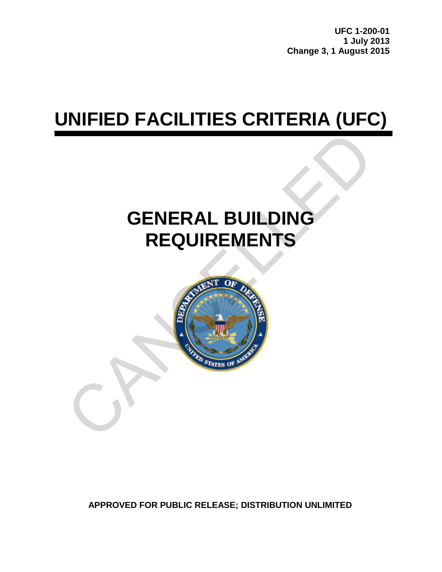# **UNIFIED FACILITIES CRITERIA (UFC)**

# **GENERAL BUILDING REQUIREMENTS**



**APPROVED FOR PUBLIC RELEASE; DISTRIBUTION UNLIMITED**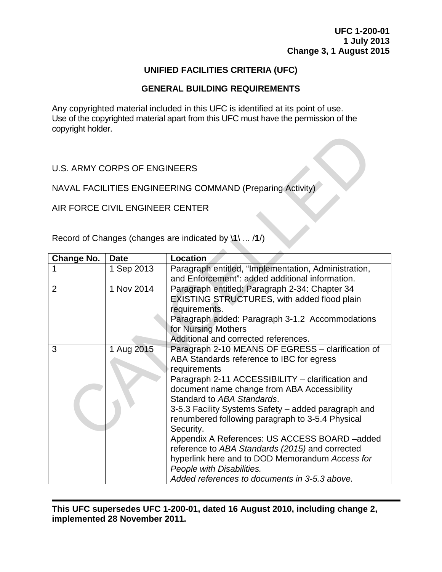## **UNIFIED FACILITIES CRITERIA (UFC)**

## **GENERAL BUILDING REQUIREMENTS**

Any copyrighted material included in this UFC is identified at its point of use. Use of the copyrighted material apart from this UFC must have the permission of the copyright holder.

|                                                           | U.S. ARMY CORPS OF ENGINEERS |                                                                                                                                                                                                                                                                                                                                                                                                                                                                                                                                                                                                              |
|-----------------------------------------------------------|------------------------------|--------------------------------------------------------------------------------------------------------------------------------------------------------------------------------------------------------------------------------------------------------------------------------------------------------------------------------------------------------------------------------------------------------------------------------------------------------------------------------------------------------------------------------------------------------------------------------------------------------------|
| NAVAL FACILITIES ENGINEERING COMMAND (Preparing Activity) |                              |                                                                                                                                                                                                                                                                                                                                                                                                                                                                                                                                                                                                              |
| AIR FORCE CIVIL ENGINEER CENTER                           |                              |                                                                                                                                                                                                                                                                                                                                                                                                                                                                                                                                                                                                              |
|                                                           |                              |                                                                                                                                                                                                                                                                                                                                                                                                                                                                                                                                                                                                              |
| Record of Changes (changes are indicated by \1\  /1/)     |                              |                                                                                                                                                                                                                                                                                                                                                                                                                                                                                                                                                                                                              |
| <b>Change No.</b>                                         | <b>Date</b>                  | <b>Location</b>                                                                                                                                                                                                                                                                                                                                                                                                                                                                                                                                                                                              |
| 1                                                         | 1 Sep 2013                   | Paragraph entitled, "Implementation, Administration,<br>and Enforcement": added additional information.                                                                                                                                                                                                                                                                                                                                                                                                                                                                                                      |
| $\overline{2}$                                            | 1 Nov 2014                   | Paragraph entitled: Paragraph 2-34: Chapter 34<br>EXISTING STRUCTURES, with added flood plain<br>requirements.<br>Paragraph added: Paragraph 3-1.2 Accommodations<br>for Nursing Mothers<br>Additional and corrected references.                                                                                                                                                                                                                                                                                                                                                                             |
| 3                                                         | 1 Aug 2015                   | Paragraph 2-10 MEANS OF EGRESS - clarification of<br>ABA Standards reference to IBC for egress<br>requirements<br>Paragraph 2-11 ACCESSIBILITY - clarification and<br>document name change from ABA Accessibility<br>Standard to ABA Standards.<br>3-5.3 Facility Systems Safety - added paragraph and<br>renumbered following paragraph to 3-5.4 Physical<br>Security.<br>Appendix A References: US ACCESS BOARD -added<br>reference to ABA Standards (2015) and corrected<br>hyperlink here and to DOD Memorandum Access for<br>People with Disabilities.<br>Added references to documents in 3-5.3 above. |

**This UFC supersedes UFC 1-200-01, dated 16 August 2010, including change 2, implemented 28 November 2011.**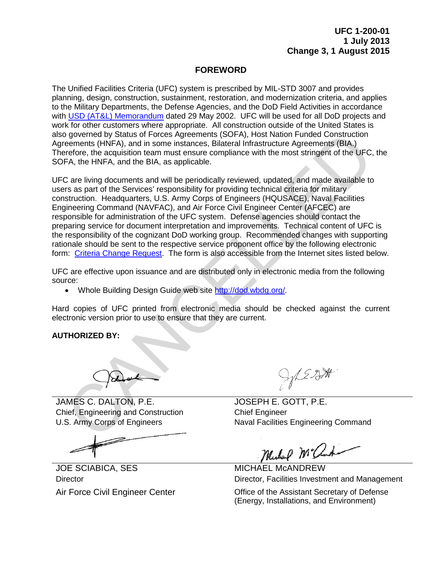#### **FOREWORD**

The Unified Facilities Criteria (UFC) system is prescribed by MIL-STD 3007 and provides planning, design, construction, sustainment, restoration, and modernization criteria, and applies to the Military Departments, the Defense Agencies, and the DoD Field Activities in accordance with [USD \(AT&L\) Memorandum](http://www.wbdg.org/pdfs/ufc_implementation.pdf) dated 29 May 2002. UFC will be used for all DoD projects and work for other customers where appropriate. All construction outside of the United States is also governed by Status of Forces Agreements (SOFA), Host Nation Funded Construction Agreements (HNFA), and in some instances, Bilateral Infrastructure Agreements (BIA.) Therefore, the acquisition team must ensure compliance with the most stringent of the UFC, the SOFA, the HNFA, and the BIA, as applicable.

UFC are living documents and will be periodically reviewed, updated, and made available to users as part of the Services' responsibility for providing technical criteria for military construction. Headquarters, U.S. Army Corps of Engineers (HQUSACE), Naval Facilities Engineering Command (NAVFAC), and Air Force Civil Engineer Center (AFCEC) are responsible for administration of the UFC system. Defense agencies should contact the preparing service for document interpretation and improvements. Technical content of UFC is the responsibility of the cognizant DoD working group. Recommended changes with supporting rationale should be sent to the respective service proponent office by the following electronic form: Criteria Change Request. The form is also accessible from the Internet sites listed below. streamed by Status of Forcess Agreements (SDFA), Hots Nation Funded Construction<br>enements (HNFA), and in some instances, Bilateral Infrastructure Agreements (BIA, DR)<br>reforce, the acquisition team must ensure compliance wi

UFC are effective upon issuance and are distributed only in electronic media from the following source:

• Whole Building Design Guide web site http://dod.wbdg.org/.

Hard copies of UFC printed from electronic media should be checked against the current electronic version prior to use to ensure that they are current.

#### **AUTHORIZED BY:**

JAMES C. DALTON, P.E. JOSEPH E. GOTT, P.E. Chief, Engineering and Construction Chief Engineer

T<br>JOE SCIABICA, SES MICHAEL MCANDREW

U.S. Army Corps of Engineers Naval Facilities Engineering Command

Director Director, Facilities Investment and Management

Air Force Civil Engineer Center **Office of the Assistant Secretary of Defense** (Energy, Installations, and Environment)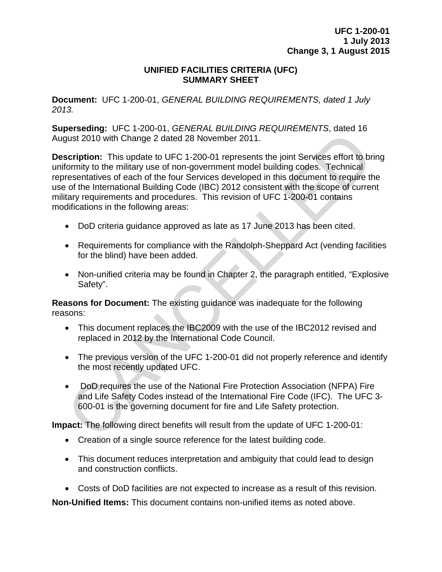#### **UNIFIED FACILITIES CRITERIA (UFC) SUMMARY SHEET**

**Document:** UFC 1-200-01, *GENERAL BUILDING REQUIREMENTS, dated 1 July 2013.*

**Superseding:** UFC 1-200-01, *GENERAL BUILDING REQUIREMENTS*, dated 16 August 2010 with Change 2 dated 28 November 2011.

**Description:** This update to UFC 1-200-01 represents the joint Services effort to bring uniformity to the military use of non-government model building codes. Technical representatives of each of the four Services developed in this document to require the use of the International Building Code (IBC) 2012 consistent with the scope of current military requirements and procedures. This revision of UFC 1-200-01 contains modifications in the following areas: Structure This update of UFC 1-200-01 represents the joint Services effort to browning that a constraine is of on-government model building codes. Technical<br>resentatives of each of the four Services developed in this docum

- DoD criteria guidance approved as late as 17 June 2013 has been cited.
- Requirements for compliance with the Randolph-Sheppard Act (vending facilities for the blind) have been added.
- Non-unified criteria may be found in Chapter 2, the paragraph entitled, "Explosive Safety".

**Reasons for Document:** The existing guidance was inadequate for the following reasons:

- This document replaces the IBC2009 with the use of the IBC2012 revised and replaced in 2012 by the International Code Council.
- The previous version of the UFC 1-200-01 did not properly reference and identify the most recently updated UFC.
- DoD requires the use of the National Fire Protection Association (NFPA) Fire and Life Safety Codes instead of the International Fire Code (IFC). The UFC 3- 600-01 is the governing document for fire and Life Safety protection.

**Impact:** The following direct benefits will result from the update of UFC 1-200-01:

- Creation of a single source reference for the latest building code.
- This document reduces interpretation and ambiguity that could lead to design and construction conflicts.
- Costs of DoD facilities are not expected to increase as a result of this revision.

**Non-Unified Items:** This document contains non-unified items as noted above.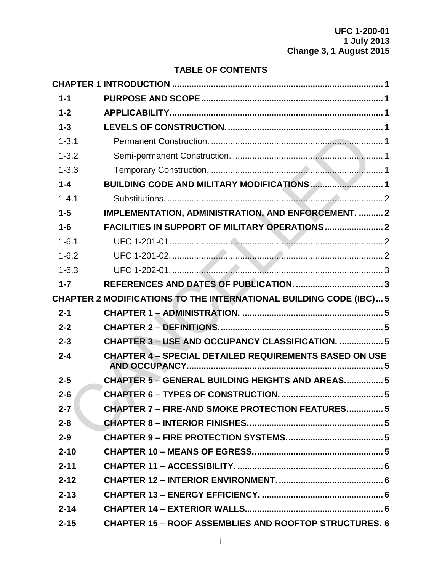# **TABLE OF CONTENTS**

| $1 - 1$   |                                                                           |  |
|-----------|---------------------------------------------------------------------------|--|
| $1 - 2$   |                                                                           |  |
| $1 - 3$   |                                                                           |  |
| $1 - 3.1$ |                                                                           |  |
| $1 - 3.2$ |                                                                           |  |
| $1 - 3.3$ |                                                                           |  |
| $1 - 4$   |                                                                           |  |
| $1 - 4.1$ |                                                                           |  |
| $1 - 5$   | IMPLEMENTATION, ADMINISTRATION, AND ENFORCEMENT.  2                       |  |
| $1 - 6$   | <b>FACILITIES IN SUPPORT OF MILITARY OPERATIONS 2</b>                     |  |
| $1 - 6.1$ |                                                                           |  |
| $1 - 6.2$ |                                                                           |  |
| $1 - 6.3$ |                                                                           |  |
| $1 - 7$   |                                                                           |  |
|           | <b>CHAPTER 2 MODIFICATIONS TO THE INTERNATIONAL BUILDING CODE (IBC) 5</b> |  |
| $2 - 1$   |                                                                           |  |
| $2 - 2$   |                                                                           |  |
| $2 - 3$   | CHAPTER 3 - USE AND OCCUPANCY CLASSIFICATION.  5                          |  |
| $2 - 4$   | <b>CHAPTER 4 - SPECIAL DETAILED REQUIREMENTS BASED ON USE</b>             |  |
| $2 - 5$   | <b>CHAPTER 5 - GENERAL BUILDING HEIGHTS AND AREAS 5</b>                   |  |
| $2 - 6$   |                                                                           |  |
| $2 - 7$   | CHAPTER 7 - FIRE-AND SMOKE PROTECTION FEATURES 5                          |  |
| $2 - 8$   |                                                                           |  |
| $2 - 9$   |                                                                           |  |
| $2 - 10$  |                                                                           |  |
| $2 - 11$  |                                                                           |  |
| $2 - 12$  |                                                                           |  |
| $2 - 13$  |                                                                           |  |
| $2 - 14$  |                                                                           |  |
| $2 - 15$  | <b>CHAPTER 15 - ROOF ASSEMBLIES AND ROOFTOP STRUCTURES. 6</b>             |  |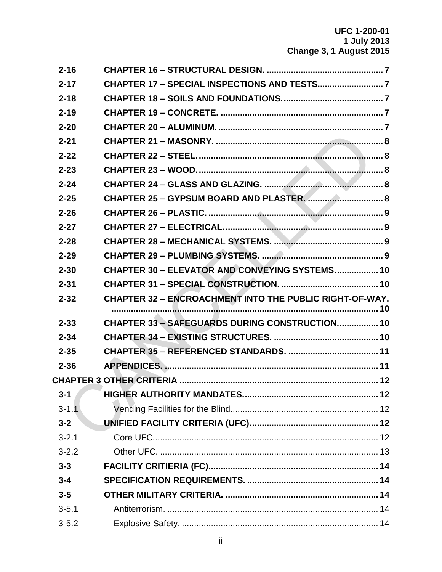| $2 - 16$  |                                                         |  |
|-----------|---------------------------------------------------------|--|
| $2 - 17$  |                                                         |  |
| $2 - 18$  |                                                         |  |
| $2 - 19$  |                                                         |  |
| $2 - 20$  |                                                         |  |
| $2 - 21$  |                                                         |  |
| $2 - 22$  |                                                         |  |
| $2 - 23$  |                                                         |  |
| $2 - 24$  |                                                         |  |
| $2 - 25$  | CHAPTER 25 - GYPSUM BOARD AND PLASTER.  8               |  |
| $2 - 26$  |                                                         |  |
| $2 - 27$  |                                                         |  |
| $2 - 28$  |                                                         |  |
| $2 - 29$  |                                                         |  |
| $2 - 30$  | CHAPTER 30 - ELEVATOR AND CONVEYING SYSTEMS 10          |  |
| $2 - 31$  |                                                         |  |
| $2 - 32$  | CHAPTER 32 - ENCROACHMENT INTO THE PUBLIC RIGHT-OF-WAY. |  |
|           |                                                         |  |
| $2 - 33$  | <b>CHAPTER 33 - SAFEGUARDS DURING CONSTRUCTION 10</b>   |  |
| $2 - 34$  |                                                         |  |
| $2 - 35$  |                                                         |  |
| $2 - 36$  |                                                         |  |
|           |                                                         |  |
| $3 - 1$   |                                                         |  |
| $3 - 1.1$ |                                                         |  |
| $3 - 2$   |                                                         |  |
| $3 - 2.1$ |                                                         |  |
| $3 - 2.2$ |                                                         |  |
| $3 - 3$   |                                                         |  |
| $3 - 4$   |                                                         |  |
| $3-5$     |                                                         |  |
| $3 - 5.1$ |                                                         |  |
| $3 - 5.2$ |                                                         |  |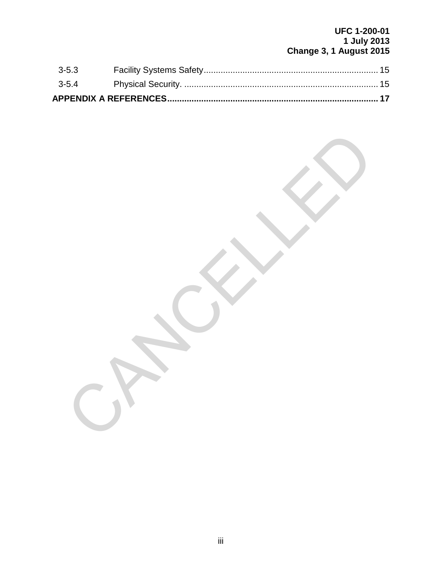| $3 - 5.3$ |  |
|-----------|--|

CANCELLED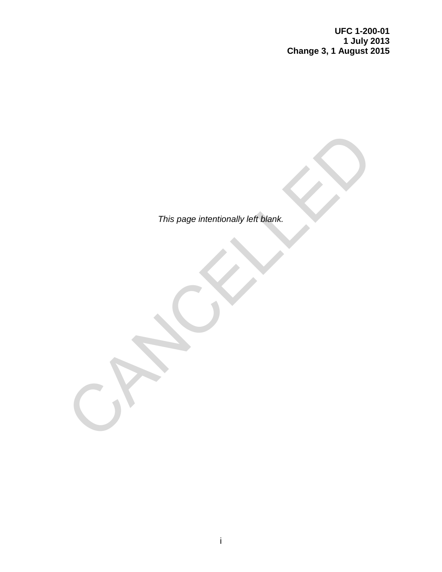*This page intentionally left blank.* This page intentionally left blank.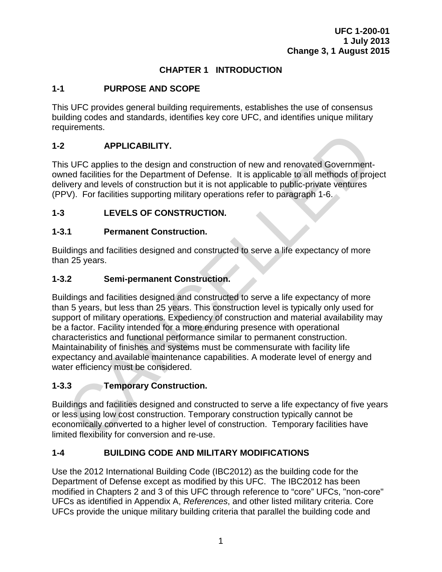## <span id="page-8-0"></span>**CHAPTER 1 INTRODUCTION**

## <span id="page-8-1"></span>**1-1 PURPOSE AND SCOPE**

This UFC provides general building requirements, establishes the use of consensus building codes and standards, identifies key core UFC, and identifies unique military requirements.

## <span id="page-8-2"></span>**1-2 APPLICABILITY.**

This UFC applies to the design and construction of new and renovated Governmentowned facilities for the Department of Defense. It is applicable to all methods of project delivery and levels of construction but it is not applicable to public-private ventures (PPV). For facilities supporting military operations refer to paragraph 1-6.

## <span id="page-8-3"></span>**1-3 LEVELS OF CONSTRUCTION.**

## <span id="page-8-4"></span>**1-3.1 Permanent Construction.**

Buildings and facilities designed and constructed to serve a life expectancy of more than 25 years.

## <span id="page-8-5"></span>**1-3.2 Semi-permanent Construction.**

Buildings and facilities designed and constructed to serve a life expectancy of more than 5 years, but less than 25 years. This construction level is typically only used for support of military operations. Expediency of construction and material availability may be a factor. Facility intended for a more enduring presence with operational characteristics and functional performance similar to permanent construction. Maintainability of finishes and systems must be commensurate with facility life expectancy and available maintenance capabilities. A moderate level of energy and water efficiency must be considered. **APPLICABILITY.**<br>
SUFC applies to the design and construction of new and renovated Government<br>
ed facilities for the Department of Defense. It is applicable to all methods of projective ventures<br>
V). For facilities support

# <span id="page-8-6"></span>**1-3.3 Temporary Construction.**

Buildings and facilities designed and constructed to serve a life expectancy of five years or less using low cost construction. Temporary construction typically cannot be economically converted to a higher level of construction. Temporary facilities have limited flexibility for conversion and re-use.

# <span id="page-8-7"></span>**1-4 BUILDING CODE AND MILITARY MODIFICATIONS**

Use the 2012 International Building Code (IBC2012) as the building code for the Department of Defense except as modified by this UFC. The IBC2012 has been modified in Chapters 2 and 3 of this UFC through reference to "core" UFCs, "non-core" UFCs as identified in Appendix A, *References*, and other listed military criteria. Core UFCs provide the unique military building criteria that parallel the building code and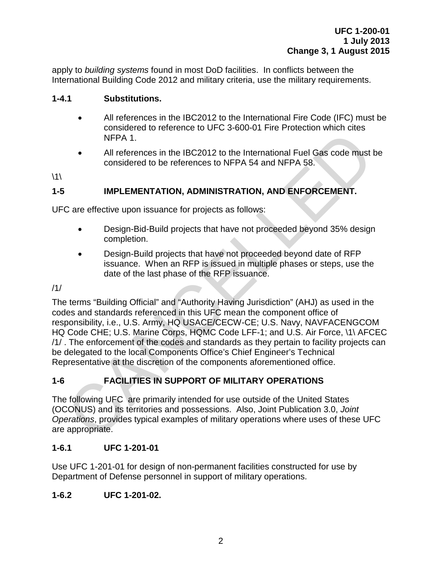apply to *building systems* found in most DoD facilities. In conflicts between the International Building Code 2012 and military criteria, use the military requirements.

## <span id="page-9-0"></span>**1-4.1 Substitutions.**

- All references in the IBC2012 to the International Fire Code (IFC) must be considered to reference to UFC 3-600-01 Fire Protection which cites NFPA 1.
- All references in the IBC2012 to the International Fuel Gas code must be considered to be references to NFPA 54 and NFPA 58.

 $\backslash$ 1 $\backslash$ 

# <span id="page-9-1"></span>**1-5 IMPLEMENTATION, ADMINISTRATION, AND ENFORCEMENT.**

UFC are effective upon issuance for projects as follows:

- Design-Bid-Build projects that have not proceeded beyond 35% design completion.
- Design-Build projects that have not proceeded beyond date of RFP issuance. When an RFP is issued in multiple phases or steps, use the date of the last phase of the RFP issuance.

## /1/

The terms "Building Official" and "Authority Having Jurisdiction" (AHJ) as used in the codes and standards referenced in this UFC mean the component office of responsibility, i.e., U.S. Army, HQ USACE/CECW-CE; U.S. Navy, NAVFACENGCOM HQ Code CHE; U.S. Marine Corps, HQMC Code LFF-1; and U.S. Air Force, \1\ AFCEC /1/ . The enforcement of the codes and standards as they pertain to facility projects can be delegated to the local Components Office's Chief Engineer's Technical Representative at the discretion of the components aforementioned office. NFPA 1.<br>
• All references in the IBC2012 to the International Fuel Gas code must<br>
considered to be references to NFPA 54 and NFPA 58.<br>
IMPLEMENTATION, ADMINISTRATION, AND ENFORCEMENT.<br>
Care effective upon issuance for proj

# <span id="page-9-2"></span>**1-6 FACILITIES IN SUPPORT OF MILITARY OPERATIONS**

The following UFC are primarily intended for use outside of the United States (OCONUS) and its territories and possessions. Also, Joint Publication 3.0, *Joint Operations*, provides typical examples of military operations where uses of these UFC are appropriate.

# <span id="page-9-3"></span>**1-6.1 UFC 1-201-01**

Use UFC 1-201-01 for design of non-permanent facilities constructed for use by Department of Defense personnel in support of military operations.

# <span id="page-9-4"></span>**1-6.2 UFC 1-201-02.**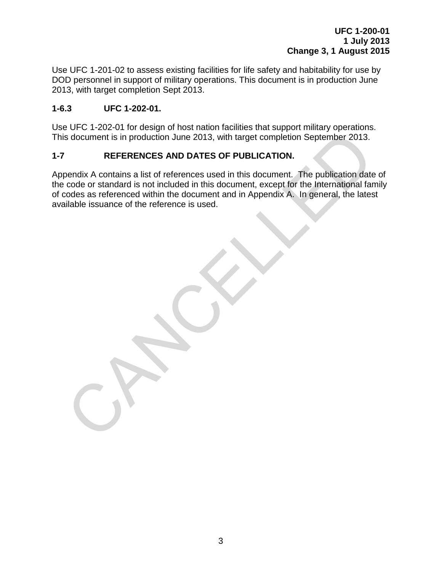Use UFC 1-201-02 to assess existing facilities for life safety and habitability for use by DOD personnel in support of military operations. This document is in production June 2013, with target completion Sept 2013.

## <span id="page-10-0"></span>**1-6.3 UFC 1-202-01.**

Use UFC 1-202-01 for design of host nation facilities that support military operations. This document is in production June 2013, with target completion September 2013.

## <span id="page-10-1"></span>**1-7 REFERENCES AND DATES OF PUBLICATION.**

Appendix A contains a list of references used in this document. The publication date of the code or standard is not included in this document, except for the International family of codes as referenced within the document and in Appendix A. In general, the latest available issuance of the reference is used. s document is in production June 2013, with target completion September 2013.<br>
REFERENCES AND DATES OF PUBLICATION.<br>
Nendix A contains a list of references used in this document. The publication date<br>
code or standard is n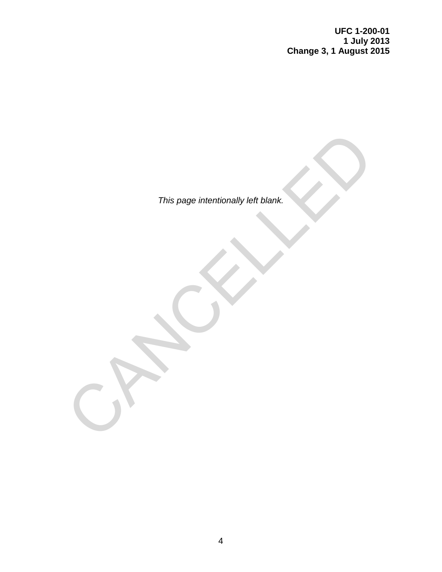*This page intentionally left blank.* This page intentionally left blank.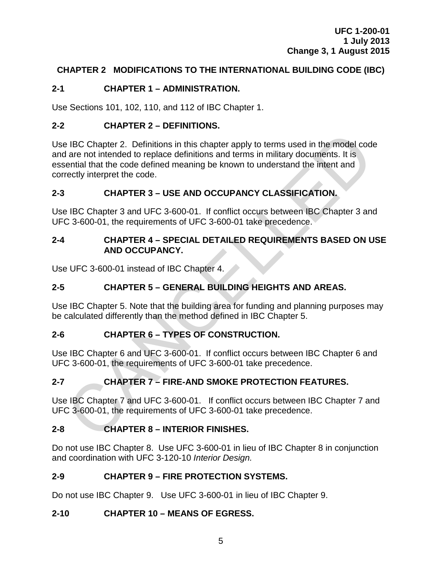## <span id="page-12-0"></span>**CHAPTER 2 MODIFICATIONS TO THE INTERNATIONAL BUILDING CODE (IBC)**

## <span id="page-12-1"></span>**2-1 CHAPTER 1 – ADMINISTRATION.**

Use Sections 101, 102, 110, and 112 of IBC Chapter 1.

## <span id="page-12-2"></span>**2-2 CHAPTER 2 – DEFINITIONS.**

Use IBC Chapter 2. Definitions in this chapter apply to terms used in the model code and are not intended to replace definitions and terms in military documents. It is essential that the code defined meaning be known to understand the intent and correctly interpret the code. 9 IBC Chapter 2. Definitions in this chapter apply to terms used in the model code<br>are not intended to replace definitions and terms in military documents. It is<br>ential that the code defined meaning be known to understand

## <span id="page-12-3"></span>**2-3 CHAPTER 3 – USE AND OCCUPANCY CLASSIFICATION.**

Use IBC Chapter 3 and UFC 3-600-01. If conflict occurs between IBC Chapter 3 and UFC 3-600-01, the requirements of UFC 3-600-01 take precedence.

## <span id="page-12-4"></span>**2-4 CHAPTER 4 – SPECIAL DETAILED REQUIREMENTS BASED ON USE AND OCCUPANCY.**

Use UFC 3-600-01 instead of IBC Chapter 4.

# <span id="page-12-5"></span>**2-5 CHAPTER 5 – GENERAL BUILDING HEIGHTS AND AREAS.**

Use IBC Chapter 5. Note that the building area for funding and planning purposes may be calculated differently than the method defined in IBC Chapter 5.

## <span id="page-12-6"></span>**2-6 CHAPTER 6 – TYPES OF CONSTRUCTION.**

Use IBC Chapter 6 and UFC 3-600-01. If conflict occurs between IBC Chapter 6 and UFC 3-600-01, the requirements of UFC 3-600-01 take precedence.

## <span id="page-12-7"></span>**2-7 CHAPTER 7 – FIRE-AND SMOKE PROTECTION FEATURES.**

Use IBC Chapter 7 and UFC 3-600-01. If conflict occurs between IBC Chapter 7 and UFC 3-600-01, the requirements of UFC 3-600-01 take precedence.

## <span id="page-12-8"></span>**2-8 CHAPTER 8 – INTERIOR FINISHES.**

Do not use IBC Chapter 8. Use UFC 3-600-01 in lieu of IBC Chapter 8 in conjunction and coordination with UFC 3-120-10 *Interior Design.*

## <span id="page-12-9"></span>**2-9 CHAPTER 9 – FIRE PROTECTION SYSTEMS.**

Do not use IBC Chapter 9. Use UFC 3-600-01 in lieu of IBC Chapter 9.

## <span id="page-12-10"></span>**2-10 CHAPTER 10 – MEANS OF EGRESS.**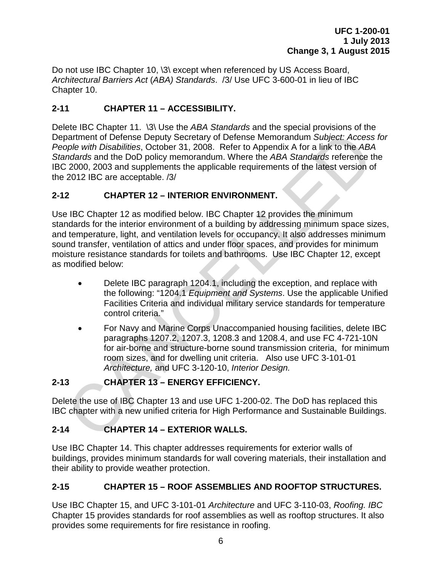Do not use IBC Chapter 10, \3\ except when referenced by US Access Board, *Architectural Barriers Act* (*ABA) Standards*. /3/ Use UFC 3-600-01 in lieu of IBC Chapter 10.

# <span id="page-13-0"></span>**2-11 CHAPTER 11 – ACCESSIBILITY.**

Delete IBC Chapter 11. \3\ Use the *ABA Standards* and the special provisions of the Department of Defense Deputy Secretary of Defense Memorandum *Subject: Access for People with Disabilities*, October 31, 2008. Refer to Appendix A for a link to the *ABA Standards* and the DoD policy memorandum. Where the *ABA Standards* reference the IBC 2000, 2003 and supplements the applicable requirements of the latest version of the 2012 IBC are acceptable. /3/

## <span id="page-13-1"></span>**2-12 CHAPTER 12 – INTERIOR ENVIRONMENT.**

Use IBC Chapter 12 as modified below. IBC Chapter 12 provides the minimum standards for the interior environment of a building by addressing minimum space sizes, and temperature, light, and ventilation levels for occupancy. It also addresses minimum sound transfer, ventilation of attics and under floor spaces, and provides for minimum moisture resistance standards for toilets and bathrooms. Use IBC Chapter 12, except as modified below: Startment of Defense Deputy Secretary of Defense Memorandum *Subject: Access*<br>
Subject: Access<br>
Andards and the DoD policy memorandum. Where the ABA Standards for a link to the ABA<br>
2000, 2003 and supplements the applicabl

- Delete IBC paragraph 1204.1, including the exception, and replace with the following: "1204.1 *Equipment and Systems*. Use the applicable Unified Facilities Criteria and individual military service standards for temperature control criteria."
- For Navy and Marine Corps Unaccompanied housing facilities, delete IBC paragraphs 1207.2, 1207.3, 1208.3 and 1208.4, and use FC 4-721-10N for air-borne and structure-borne sound transmission criteria, for minimum room sizes, and for dwelling unit criteria. Also use UFC 3-101-01 *Architecture,* and UFC 3-120-10, *Interior Design.*

# <span id="page-13-2"></span>**2-13 CHAPTER 13 – ENERGY EFFICIENCY.**

Delete the use of IBC Chapter 13 and use UFC 1-200-02. The DoD has replaced this IBC chapter with a new unified criteria for High Performance and Sustainable Buildings.

# <span id="page-13-3"></span>**2-14 CHAPTER 14 – EXTERIOR WALLS.**

Use IBC Chapter 14. This chapter addresses requirements for exterior walls of buildings, provides minimum standards for wall covering materials, their installation and their ability to provide weather protection.

# <span id="page-13-4"></span>**2-15 CHAPTER 15 – ROOF ASSEMBLIES AND ROOFTOP STRUCTURES.**

Use IBC Chapter 15, and UFC 3-101-01 *Architecture* and UFC 3-110-03, *Roofing. IBC*  Chapter 15 provides standards for roof assemblies as well as rooftop structures. It also provides some requirements for fire resistance in roofing.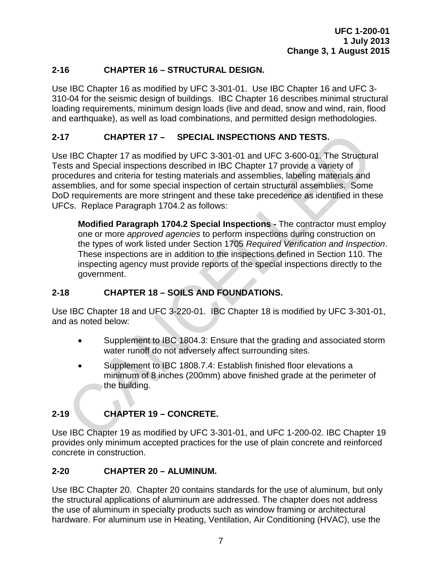## <span id="page-14-0"></span>**2-16 CHAPTER 16 – STRUCTURAL DESIGN.**

Use IBC Chapter 16 as modified by UFC 3-301-01. Use IBC Chapter 16 and UFC 3- 310-04 for the seismic design of buildings. IBC Chapter 16 describes minimal structural loading requirements, minimum design loads (live and dead, snow and wind, rain, flood and earthquake), as well as load combinations, and permitted design methodologies.

## <span id="page-14-1"></span>**2-17 CHAPTER 17 – SPECIAL INSPECTIONS AND TESTS.**

Use IBC Chapter 17 as modified by UFC 3-301-01 and UFC 3-600-01. The Structural Tests and Special inspections described in IBC Chapter 17 provide a variety of procedures and criteria for testing materials and assemblies, labeling materials and assemblies, and for some special inspection of certain structural assemblies. Some DoD requirements are more stringent and these take precedence as identified in these UFCs. Replace Paragraph 1704.2 as follows: 7 **CHAPTER 17 – SPECIAL INSPECTIONS AND TESTS.**<br>
IBC Chapter 17 as modified by UFC 3-301-01 and UFC 3-600-01. The Structure<br>
at said Special inspections described in IBC Chapter 17 provide a variety of<br>
cercedures and cri

**Modified Paragraph 1704.2 Special Inspections -** The contractor must employ one or more *approved agencies* to perform inspections during construction on the types of work listed under Section 1705 *Required Verification and Inspection*. These inspections are in addition to the inspections defined in Section 110. The inspecting agency must provide reports of the special inspections directly to the government.

## <span id="page-14-2"></span>**2-18 CHAPTER 18 – SOILS AND FOUNDATIONS.**

Use IBC Chapter 18 and UFC 3-220-01. IBC Chapter 18 is modified by UFC 3-301-01, and as noted below:

- Supplement to IBC 1804.3: Ensure that the grading and associated storm water runoff do not adversely affect surrounding sites.
- Supplement to IBC 1808.7.4: Establish finished floor elevations a minimum of 8 inches (200mm) above finished grade at the perimeter of the building.

# <span id="page-14-3"></span>**2-19 CHAPTER 19 – CONCRETE.**

Use IBC Chapter 19 as modified by UFC 3-301-01, and UFC 1-200-02. IBC Chapter 19 provides only minimum accepted practices for the use of plain concrete and reinforced concrete in construction.

## <span id="page-14-4"></span>**2-20 CHAPTER 20 – ALUMINUM.**

Use IBC Chapter 20. Chapter 20 contains standards for the use of aluminum, but only the structural applications of aluminum are addressed. The chapter does not address the use of aluminum in specialty products such as window framing or architectural hardware. For aluminum use in Heating, Ventilation, Air Conditioning (HVAC), use the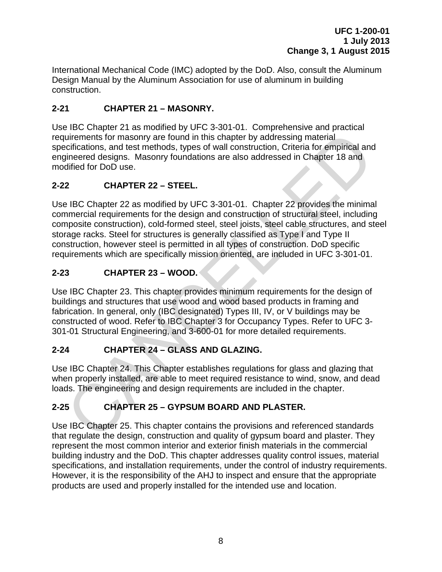International Mechanical Code (IMC) adopted by the DoD. Also, consult the Aluminum Design Manual by the Aluminum Association for use of aluminum in building construction.

# <span id="page-15-0"></span>**2-21 CHAPTER 21 – MASONRY.**

Use IBC Chapter 21 as modified by UFC 3-301-01. Comprehensive and practical requirements for masonry are found in this chapter by addressing material specifications, and test methods, types of wall construction, Criteria for empirical and engineered designs. Masonry foundations are also addressed in Chapter 18 and modified for DoD use.

# <span id="page-15-1"></span>**2-22 CHAPTER 22 – STEEL.**

Use IBC Chapter 22 as modified by UFC 3-301-01. Chapter 22 provides the minimal commercial requirements for the design and construction of structural steel, including composite construction), cold-formed steel, steel joists, steel cable structures, and steel storage racks. Steel for structures is generally classified as Type I and Type II construction, however steel is permitted in all types of construction. DoD specific requirements which are specifically mission oriented, are included in UFC 3-301-01. uirements for masonry are found in this chapter by addressing material<br>cifications, and test methods, types of wall construction, Criteria for empirical and<br>inicered designs. Masonry foundations are also addressed in Chapt

# <span id="page-15-2"></span>**2-23 CHAPTER 23 – WOOD.**

Use IBC Chapter 23. This chapter provides minimum requirements for the design of buildings and structures that use wood and wood based products in framing and fabrication. In general, only (IBC designated) Types III, IV, or V buildings may be constructed of wood. Refer to IBC Chapter 3 for Occupancy Types. Refer to UFC 3- 301-01 Structural Engineering, and 3-600-01 for more detailed requirements.

# <span id="page-15-3"></span>**2-24 CHAPTER 24 – GLASS AND GLAZING.**

Use IBC Chapter 24. This Chapter establishes regulations for glass and glazing that when properly installed, are able to meet required resistance to wind, snow, and dead loads. The engineering and design requirements are included in the chapter.

# <span id="page-15-4"></span>**2-25 CHAPTER 25 – GYPSUM BOARD AND PLASTER.**

Use IBC Chapter 25. This chapter contains the provisions and referenced standards that regulate the design, construction and quality of gypsum board and plaster. They represent the most common interior and exterior finish materials in the commercial building industry and the DoD. This chapter addresses quality control issues, material specifications, and installation requirements, under the control of industry requirements. However, it is the responsibility of the AHJ to inspect and ensure that the appropriate products are used and properly installed for the intended use and location.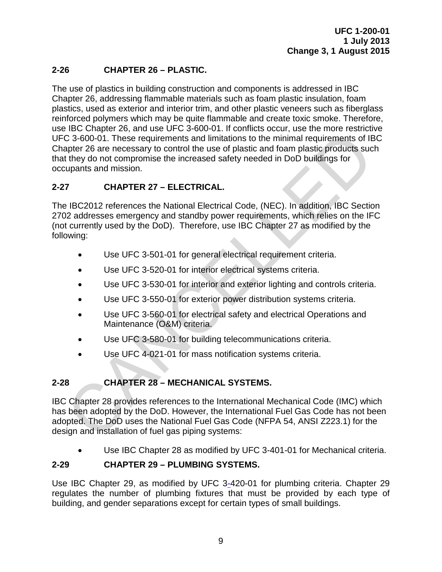## <span id="page-16-0"></span>**2-26 CHAPTER 26 – PLASTIC.**

The use of plastics in building construction and components is addressed in IBC Chapter 26, addressing flammable materials such as foam plastic insulation, foam plastics, used as exterior and interior trim, and other plastic veneers such as fiberglass reinforced polymers which may be quite flammable and create toxic smoke. Therefore, use IBC Chapter 26, and use UFC 3-600-01. If conflicts occur, use the more restrictive UFC 3-600-01. These requirements and limitations to the minimal requirements of IBC Chapter 26 are necessary to control the use of plastic and foam plastic products such that they do not compromise the increased safety needed in DoD buildings for occupants and mission. CRITER 28 - Movements and limitations to the minimal requirements of IE<br>
CRITER 20 - 01. These requirements and limitations to the minimal requirements of IE<br>
they do not compromise the increased safety needed in DoD build

# <span id="page-16-1"></span>**2-27 CHAPTER 27 – ELECTRICAL.**

The IBC2012 references the National Electrical Code, (NEC). In addition, IBC Section 2702 addresses emergency and standby power requirements, which relies on the IFC (not currently used by the DoD). Therefore, use IBC Chapter 27 as modified by the following:

- Use UFC 3-501-01 for general electrical requirement criteria.
- Use UFC 3-520-01 for interior electrical systems criteria.
- Use UFC 3-530-01 for interior and exterior lighting and controls criteria.
- Use UFC 3-550-01 for exterior power distribution systems criteria.
- Use UFC 3-560-01 for electrical safety and electrical Operations and Maintenance (O&M) criteria.
- Use UFC 3-580-01 for building telecommunications criteria.
- Use UFC 4-021-01 for mass notification systems criteria.

# <span id="page-16-2"></span>**2-28 CHAPTER 28 – MECHANICAL SYSTEMS.**

IBC Chapter 28 provides references to the International Mechanical Code (IMC) which has been adopted by the DoD. However, the International Fuel Gas Code has not been adopted. The DoD uses the National Fuel Gas Code (NFPA 54, ANSI Z223.1) for the design and installation of fuel gas piping systems:

• Use IBC Chapter 28 as modified by UFC 3-401-01 for Mechanical criteria.

# <span id="page-16-3"></span>**2-29 CHAPTER 29 – PLUMBING SYSTEMS.**

Use IBC Chapter 29, as modified by UFC 3-420-01 for plumbing criteria. Chapter 29 regulates the number of plumbing fixtures that must be provided by each type of building, and gender separations except for certain types of small buildings.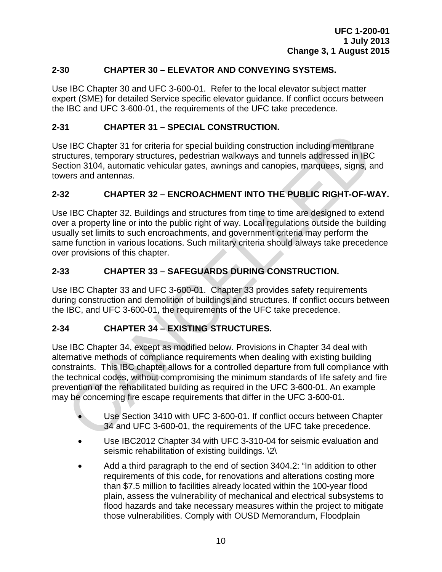## <span id="page-17-0"></span>**2-30 CHAPTER 30 – ELEVATOR AND CONVEYING SYSTEMS.**

Use IBC Chapter 30 and UFC 3-600-01. Refer to the local elevator subject matter expert (SME) for detailed Service specific elevator guidance. If conflict occurs between the IBC and UFC 3-600-01, the requirements of the UFC take precedence.

## <span id="page-17-1"></span>**2-31 CHAPTER 31 – SPECIAL CONSTRUCTION.**

Use IBC Chapter 31 for criteria for special building construction including membrane structures, temporary structures, pedestrian walkways and tunnels addressed in IBC Section 3104, automatic vehicular gates, awnings and canopies, marquees, signs, and towers and antennas.

# <span id="page-17-2"></span>**2-32 CHAPTER 32 – ENCROACHMENT INTO THE PUBLIC RIGHT-OF-WAY.**

Use IBC Chapter 32. Buildings and structures from time to time are designed to extend over a property line or into the public right of way. Local regulations outside the building usually set limits to such encroachments, and government criteria may perform the same function in various locations. Such military criteria should always take precedence over provisions of this chapter.

# <span id="page-17-3"></span>**2-33 CHAPTER 33 – SAFEGUARDS DURING CONSTRUCTION.**

Use IBC Chapter 33 and UFC 3-600-01. Chapter 33 provides safety requirements during construction and demolition of buildings and structures. If conflict occurs between the IBC, and UFC 3-600-01, the requirements of the UFC take precedence.

# <span id="page-17-4"></span>**2-34 CHAPTER 34 – EXISTING STRUCTURES.**

Use IBC Chapter 34, except as modified below. Provisions in Chapter 34 deal with alternative methods of compliance requirements when dealing with existing building constraints. This IBC chapter allows for a controlled departure from full compliance with the technical codes, without compromising the minimum standards of life safety and fire prevention of the rehabilitated building as required in the UFC 3-600-01. An example may be concerning fire escape requirements that differ in the UFC 3-600-01. **EIEC Chapter 31 for criteria for special building construction including membrane<br>citures, temporary structures, pedestrian walkways and tunnels addressed in IBC<br>tion 3104, automatic vehicular gates, awnings and canopies,** 

- Use Section 3410 with UFC 3-600-01. If conflict occurs between Chapter 34 and UFC 3-600-01, the requirements of the UFC take precedence.
- Use IBC2012 Chapter 34 with UFC 3-310-04 for seismic evaluation and seismic rehabilitation of existing buildings. \2\
- Add a third paragraph to the end of section 3404.2: "In addition to other requirements of this code, for renovations and alterations costing more than \$7.5 million to facilities already located within the 100-year flood plain, assess the vulnerability of mechanical and electrical subsystems to flood hazards and take necessary measures within the project to mitigate those vulnerabilities. Comply with OUSD Memorandum, Floodplain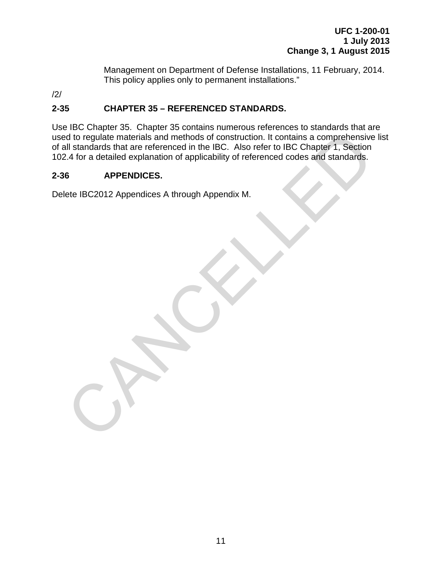Management on Department of Defense Installations, 11 February, 2014. This policy applies only to permanent installations."

/2/

# <span id="page-18-0"></span>**2-35 CHAPTER 35 – REFERENCED STANDARDS.**

Use IBC Chapter 35. Chapter 35 contains numerous references to standards that are used to regulate materials and methods of construction. It contains a comprehensive list of all standards that are referenced in the IBC. Also refer to IBC Chapter 1, Section 102.4 for a detailed explanation of applicability of referenced codes and standards. d to regulate materials and methods of construction. It contains a comprehensive<br>ill standards that are referenced in the IBC. Also refer to IBC Chapter 1, Section<br>1.4 for a detailed explanation of applicability of referen

## <span id="page-18-1"></span>**2-36 APPENDICES.**

Delete IBC2012 Appendices A through Appendix M.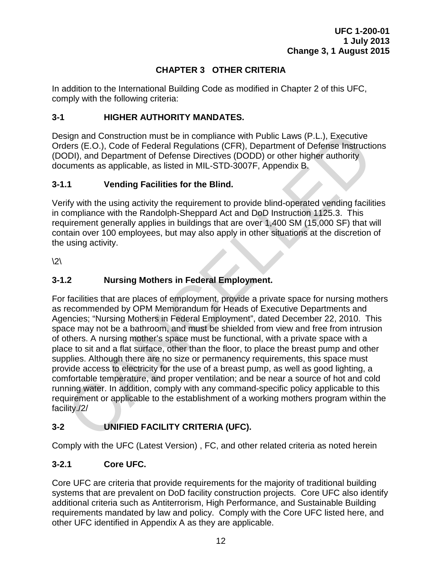# <span id="page-19-0"></span>**CHAPTER 3 OTHER CRITERIA**

In addition to the International Building Code as modified in Chapter 2 of this UFC, comply with the following criteria:

## <span id="page-19-1"></span>**3-1 HIGHER AUTHORITY MANDATES.**

Design and Construction must be in compliance with Public Laws (P.L.), Executive Orders (E.O.), Code of Federal Regulations (CFR), Department of Defense Instructions (DODI), and Department of Defense Directives (DODD) or other higher authority documents as applicable, as listed in MIL-STD-3007F, Appendix B.

# <span id="page-19-2"></span>**3-1.1 Vending Facilities for the Blind.**

Verify with the using activity the requirement to provide blind-operated vending facilities in compliance with the Randolph-Sheppard Act and DoD Instruction 1125.3. This requirement generally applies in buildings that are over 1,400 SM (15,000 SF) that will contain over 100 employees, but may also apply in other situations at the discretion of the using activity.

 $\langle 2 \rangle$ 

# **3-1.2 Nursing Mothers in Federal Employment.**

For facilities that are places of employment, provide a private space for nursing mothers as recommended by OPM Memorandum for Heads of Executive Departments and Agencies; "Nursing Mothers in Federal Employment", dated December 22, 2010. This space may not be a bathroom, and must be shielded from view and free from intrusion of others. A nursing mother's space must be functional, with a private space with a place to sit and a flat surface, other than the floor, to place the breast pump and other supplies. Although there are no size or permanency requirements, this space must provide access to electricity for the use of a breast pump, as well as good lighting, a comfortable temperature, and proper ventilation; and be near a source of hot and cold running water. In addition, comply with any command-specific policy applicable to this requirement or applicable to the establishment of a working mothers program within the facility./2/ isign and Construction must be in compliance with Public Laws (P.L.), Executive<br>
elers (E.D.), Code of Federal Regulations (CFR), Department of Defense Instructions<br>
CCFR), Department of Defense Directives (DODD) or other

# <span id="page-19-3"></span>**3-2 UNIFIED FACILITY CRITERIA (UFC).**

Comply with the UFC (Latest Version) , FC, and other related criteria as noted herein

# <span id="page-19-4"></span>**3-2.1 Core UFC.**

Core UFC are criteria that provide requirements for the majority of traditional building systems that are prevalent on DoD facility construction projects. Core UFC also identify additional criteria such as Antiterrorism, High Performance, and Sustainable Building requirements mandated by law and policy. Comply with the Core UFC listed here, and other UFC identified in Appendix A as they are applicable.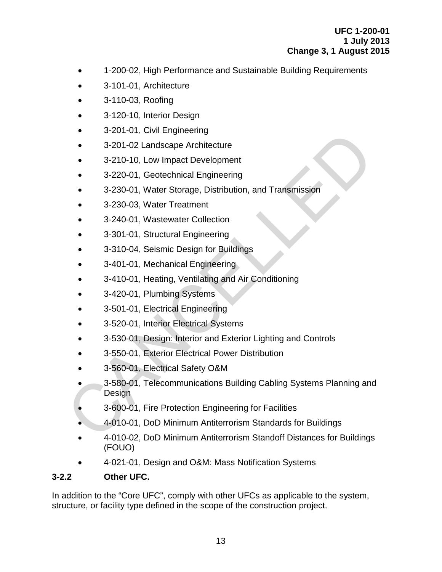- 1-200-02, High Performance and Sustainable Building Requirements
- 3-101-01, Architecture
- 3-110-03, Roofing
- 3-120-10, Interior Design
- 3-201-01, Civil Engineering
- 3-201-02 Landscape Architecture
- 3-210-10, Low Impact Development
- 3-220-01, Geotechnical Engineering
- 3-230-01, Water Storage, Distribution, and Transmission
- 3-230-03, Water Treatment
- 3-240-01, Wastewater Collection
- 3-301-01, Structural Engineering
- 3-310-04, Seismic Design for Buildings
- 3-401-01, Mechanical Engineering
- 3-410-01, Heating, Ventilating and Air Conditioning
- 3-420-01, Plumbing Systems
- 3-501-01, Electrical Engineering
- 3-520-01, Interior Electrical Systems
- 3-530-01, Design: Interior and Exterior Lighting and Controls
- 3-550-01, Exterior Electrical Power Distribution
- 3-560-01, Electrical Safety O&M
- 3-580-01, Telecommunications Building Cabling Systems Planning and Design 3-201-01, Usin Engineering<br>
3-201-02 Landscape Architecture<br>
3-201-00, Low Impact Development<br>
3-220-01, Geotechnical Engineering<br>
3-230-01, Water Storage, Distribution, and Transmission<br>
3-230-03, Water Treatment<br>
3-301-0
	- 3-600-01, Fire Protection Engineering for Facilities
	- 4-010-01, DoD Minimum Antiterrorism Standards for Buildings
	- 4-010-02, DoD Minimum Antiterrorism Standoff Distances for Buildings (FOUO)
	- 4-021-01, Design and O&M: Mass Notification Systems

# <span id="page-20-0"></span>**3-2.2 Other UFC.**

In addition to the "Core UFC", comply with other UFCs as applicable to the system, structure, or facility type defined in the scope of the construction project.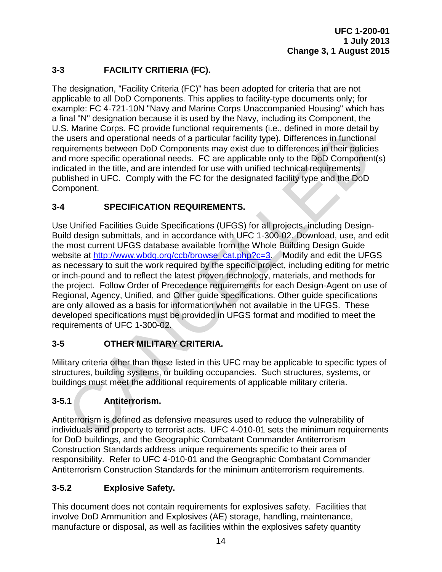# <span id="page-21-0"></span>**3-3 FACILITY CRITIERIA (FC).**

The designation, "Facility Criteria (FC)" has been adopted for criteria that are not applicable to all DoD Components. This applies to facility-type documents only; for example: FC 4-721-10N "Navy and Marine Corps Unaccompanied Housing" which has a final "N" designation because it is used by the Navy, including its Component, the U.S. Marine Corps. FC provide functional requirements (i.e., defined in more detail by the users and operational needs of a particular facility type). Differences in functional requirements between DoD Components may exist due to differences in their policies and more specific operational needs. FC are applicable only to the DoD Component(s) indicated in the title, and are intended for use with unified technical requirements published in UFC. Comply with the FC for the designated facility type and the DoD Component.

# <span id="page-21-1"></span>**3-4 SPECIFICATION REQUIREMENTS.**

Use Unified Facilities Guide Specifications (UFGS) for all projects, including Design-Build design submittals, and in accordance with UFC 1-300-02. Download, use, and edit the most current UFGS database available from the Whole Building Design Guide website at http://www.wbdg.org/ccb/browse\_cat.php?c=3. Modify and edit the UFGS as necessary to suit the work required by the specific project, including editing for metric or inch-pound and to reflect the latest proven technology, materials, and methods for the project. Follow Order of Precedence requirements for each Design-Agent on use of Regional, Agency, Unified, and Other guide specifications. Other guide specifications are only allowed as a basis for information when not available in the UFGS. These developed specifications must be provided in UFGS format and modified to meet the requirements of UFC 1-300-02. users and operational needs of a particular facility type). Differences in functional users and operational needs of a particular facility type). Differences in functional more specific operational needs. FC are applicable

# <span id="page-21-2"></span>**3-5 OTHER MILITARY CRITERIA.**

Military criteria other than those listed in this UFC may be applicable to specific types of structures, building systems, or building occupancies. Such structures, systems, or buildings must meet the additional requirements of applicable military criteria.

# <span id="page-21-3"></span>**3-5.1 Antiterrorism.**

Antiterrorism is defined as defensive measures used to reduce the vulnerability of individuals and property to terrorist acts. UFC 4-010-01 sets the minimum requirements for DoD buildings, and the Geographic Combatant Commander Antiterrorism Construction Standards address unique requirements specific to their area of responsibility. Refer to UFC 4-010-01 and the Geographic Combatant Commander Antiterrorism Construction Standards for the minimum antiterrorism requirements.

# <span id="page-21-4"></span>**3-5.2 Explosive Safety.**

This document does not contain requirements for explosives safety. Facilities that involve DoD Ammunition and Explosives (AE) storage, handling, maintenance, manufacture or disposal, as well as facilities within the explosives safety quantity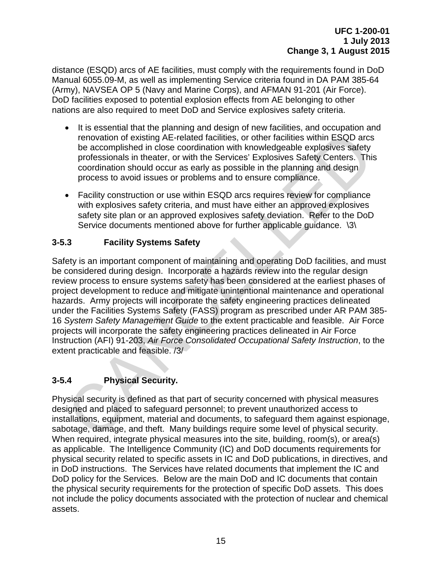distance (ESQD) arcs of AE facilities, must comply with the requirements found in DoD Manual 6055.09-M, as well as implementing Service criteria found in DA PAM 385-64 (Army), NAVSEA OP 5 (Navy and Marine Corps), and AFMAN 91-201 (Air Force). DoD facilities exposed to potential explosion effects from AE belonging to other nations are also required to meet DoD and Service explosives safety criteria.

- It is essential that the planning and design of new facilities, and occupation and renovation of existing AE-related facilities, or other facilities within ESQD arcs be accomplished in close coordination with knowledgeable explosives safety professionals in theater, or with the Services' Explosives Safety Centers. This coordination should occur as early as possible in the planning and design process to avoid issues or problems and to ensure compliance.
- Facility construction or use within ESQD arcs requires review for compliance with explosives safety criteria, and must have either an approved explosives safety site plan or an approved explosives safety deviation. Refer to the DoD Service documents mentioned above for further applicable guidance. \3\

## <span id="page-22-0"></span>**3-5.3 Facility Systems Safety**

Safety is an important component of maintaining and operating DoD facilities, and must be considered during design. Incorporate a hazards review into the regular design review process to ensure systems safety has been considered at the earliest phases of project development to reduce and mitigate unintentional maintenance and operational hazards. Army projects will incorporate the safety engineering practices delineated under the Facilities Systems Safety (FASS) program as prescribed under AR PAM 385- 16 *System Safety Management Guide* to the extent practicable and feasible. Air Force projects will incorporate the safety engineering practices delineated in Air Force Instruction (AFI) 91-203, *Air Force Consolidated Occupational Safety Instruction*, to the extent practicable and feasible. /3/ renovation of existing AE-related facilities, or other facilities within ESOD arcs<br>be accomplished in close coordination with knowledgeable explosives safety<br>continues to represent the Services' Explosives Safety Centers.

# <span id="page-22-1"></span>**3-5.4 Physical Security.**

Physical security is defined as that part of security concerned with physical measures designed and placed to safeguard personnel; to prevent unauthorized access to installations, equipment, material and documents, to safeguard them against espionage, sabotage, damage, and theft. Many buildings require some level of physical security. When required, integrate physical measures into the site, building, room(s), or area(s) as applicable. The Intelligence Community (IC) and DoD documents requirements for physical security related to specific assets in IC and DoD publications, in directives, and in DoD instructions. The Services have related documents that implement the IC and DoD policy for the Services. Below are the main DoD and IC documents that contain the physical security requirements for the protection of specific DoD assets. This does not include the policy documents associated with the protection of nuclear and chemical assets.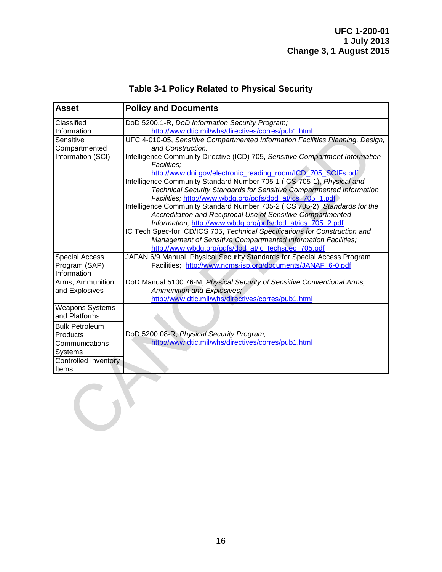| <b>Asset</b>                                          | <b>Policy and Documents</b>                                                                                                                                                                                                            |
|-------------------------------------------------------|----------------------------------------------------------------------------------------------------------------------------------------------------------------------------------------------------------------------------------------|
| Classified                                            | DoD 5200.1-R, DoD Information Security Program;                                                                                                                                                                                        |
| Information                                           | http://www.dtic.mil/whs/directives/corres/pub1.html                                                                                                                                                                                    |
| Sensitive                                             | UFC 4-010-05, Sensitive Compartmented Information Facilities Planning, Design,                                                                                                                                                         |
| Compartmented                                         | and Construction.                                                                                                                                                                                                                      |
| Information (SCI)                                     | Intelligence Community Directive (ICD) 705, Sensitive Compartment Information<br>Facilities;<br>http://www.dni.gov/electronic_reading_room/ICD_705_SCIFs.pdf<br>Intelligence Community Standard Number 705-1 (ICS-705-1), Physical and |
|                                                       | <b>Technical Security Standards for Sensitive Compartmented Information</b><br>Facilities; http://www.wbdg.org/pdfs/dod_at/ics_705_1.pdf                                                                                               |
|                                                       | Intelligence Community Standard Number 705-2 (ICS 705-2), Standards for the<br>Accreditation and Reciprocal Use of Sensitive Compartmented<br>Information; http://www.wbdg.org/pdfs/dod at/ics 705 2.pdf                               |
|                                                       | IC Tech Spec-for ICD/ICS 705, Technical Specifications for Construction and<br>Management of Sensitive Compartmented Information Facilities;                                                                                           |
|                                                       | http://www.wbdg.org/pdfs/dod_at/ic_techspec_705.pdf<br>JAFAN 6/9 Manual, Physical Security Standards for Special Access Program                                                                                                        |
| <b>Special Access</b><br>Program (SAP)<br>Information | Facilities; http://www.ncms-isp.org/documents/JANAF_6-0.pdf                                                                                                                                                                            |
| Arms, Ammunition                                      | DoD Manual 5100.76-M, Physical Security of Sensitive Conventional Arms,                                                                                                                                                                |
| and Explosives                                        | Ammunition and Explosives;                                                                                                                                                                                                             |
|                                                       | http://www.dtic.mil/whs/directives/corres/pub1.html                                                                                                                                                                                    |
| <b>Weapons Systems</b><br>and Platforms               |                                                                                                                                                                                                                                        |
| <b>Bulk Petroleum</b>                                 |                                                                                                                                                                                                                                        |
| Products                                              | DoD 5200.08-R, Physical Security Program;                                                                                                                                                                                              |
| Communications<br>Systems                             | http://www.dtic.mil/whs/directives/corres/pub1.html                                                                                                                                                                                    |
| <b>Controlled Inventory</b>                           |                                                                                                                                                                                                                                        |
| Items                                                 |                                                                                                                                                                                                                                        |
|                                                       |                                                                                                                                                                                                                                        |

# **Table 3-1 Policy Related to Physical Security**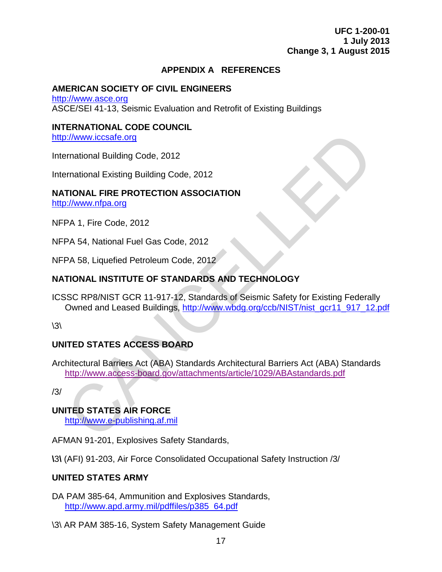## <span id="page-24-0"></span>**APPENDIX A REFERENCES**

#### **AMERICAN SOCIETY OF CIVIL ENGINEERS**

[http://www.asce.org](http://www.asce.org/) ASCE/SEI 41-13, Seismic Evaluation and Retrofit of Existing Buildings

#### **INTERNATIONAL CODE COUNCIL**

http://www.iccsafe.org

International Building Code, 2012

International Existing Building Code, 2012

#### **NATIONAL FIRE PROTECTION ASSOCIATION**

http://www.nfpa.org

NFPA 1, Fire Code, 2012

NFPA 54, National Fuel Gas Code, 2012

NFPA 58, Liquefied Petroleum Code, 2012

## **NATIONAL INSTITUTE OF STANDARDS AND TECHNOLOGY**

ICSSC RP8/NIST GCR 11-917-12, Standards of Seismic Safety for Existing Federally Owned and Leased Buildings, http://www.wbdg.org/ccb/NIST/nist\_gcr11\_917\_12.pdf

 $\frac{3}{3}$ 

## **UNITED STATES ACCESS BOARD**

Architectural Barriers Act (ABA) Standards Architectural Barriers Act (ABA) Standards http://www.access-board.gov/attachments/article/1029/ABAstandards.pdf Whww.iccsafe.org<br>
Emational Existing Building Code, 2012<br>
TIONAL FIRE PROTECTION ASSOCIATION<br>
EMATHERE PROTECTION ASSOCIATION<br>
PA 1, Fire Code, 2012<br>
PA 58, Liquefied Petroleum Code, 2012<br>
PA 58, Liquefied Petroleum Code,

/3/

## **UNITED STATES AIR FORCE**

http://www.e-publishing.af.mil

AFMAN 91-201, Explosives Safety Standards,

**\**3**\** (AFI) 91-203, Air Force Consolidated Occupational Safety Instruction /3/

#### **UNITED STATES ARMY**

DA PAM 385-64, Ammunition and Explosives Standards, [http://www.apd.army.mil/pdffiles/p385\\_64.pdf](http://www.apd.army.mil/pdffiles/p385_64.pdf)

\3\ AR PAM 385-16, System Safety Management Guide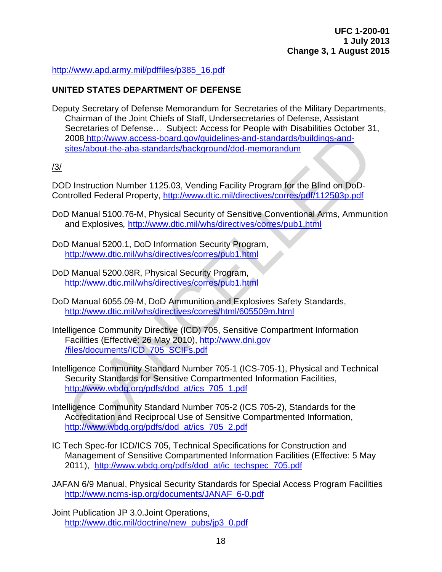[http://www.apd.army.mil/pdffiles/p385\\_16.pdf](http://www.apd.army.mil/pdffiles/p385_16.pdf) 

## **UNITED STATES DEPARTMENT OF DEFENSE**

Deputy Secretary of Defense Memorandum for Secretaries of the Military Departments, Chairman of the Joint Chiefs of Staff, Undersecretaries of Defense, Assistant Secretaries of Defense… Subject: Access for People with Disabilities October 31, 2008 http://www.access-board.gov/guidelines-and-standards/buildings-andsites/about-the-aba-standards/background/dod-memorandum

/3/

DOD Instruction Number 1125.03, Vending Facility Program for the Blind on DoD-Controlled Federal Property, http://www.dtic.mil/directives/corres/pdf/112503p.pdf

- DoD Manual 5100.76-M, Physical Security of Sensitive Conventional Arms, Ammunition and Explosives*,* http://www.dtic.mil/whs/directives/corres/pub1.html
- DoD Manual 5200.1, DoD Information Security Program, http://www.dtic.mil/whs/directives/corres/pub1.html
- DoD Manual 5200.08R, Physical Security Program, http://www.dtic.mil/whs/directives/corres/pub1.html
- DoD Manual 6055.09-M, DoD Ammunition and Explosives Safety Standards, http://www.dtic.mil/whs/directives/corres/html/605509m.html
- Intelligence Community Directive (ICD) 705, Sensitive Compartment Information Facilities (Effective: 26 May 2010), http://www.dni.gov /files/documents/ICD\_705\_SCIFs.pdf
- Intelligence Community Standard Number 705-1 (ICS-705-1), Physical and Technical Security Standards for Sensitive Compartmented Information Facilities, http://www.wbdg.org/pdfs/dod\_at/ics\_705\_1.pdf 2008 http://www.access-board.gov/guidelines-and-standards/buildings-and-<br>sites/about-the-aba-standards/background/dod-memorandum<br>sites/about-the-aba-standards/background/dod-memorandum<br>D Instruction [N](http://www.dni.gov/electronic_reading_room/ICD_705_SCIFs.pdf)umber 1125.03, Vending
- Intelligence Community Standard Number 705-2 (ICS 705-2), Standards for the Accreditation and Reciprocal Use of Sensitive Compartmented Information, http://www.wbdg.org/pdfs/dod\_at/ics\_705\_2.pdf
- IC Tech Spec-for ICD/ICS 705, Technical Specifications for Construction and Management of Sensitive Compartmented Information Facilities (Effective: 5 May 2011), [http://www.wbdg.org/pdfs/dod\\_at/ic\\_techspec\\_705.pdf](http://www.wbdg.org/pdfs/dod_at/ic_techspec_705.pdf)
- JAFAN 6/9 Manual, Physical Security Standards for Special Access Program Facilities [http://www.ncms-isp.org/documents/JANAF\\_6-0.pdf](http://www.ncms-isp.org/documents/JANAF_6-0.pdf)
- Joint Publication JP 3.0.Joint Operations, [http://www.dtic.mil/doctrine/new\\_pubs/jp3\\_0.pdf](http://www.dtic.mil/doctrine/new_pubs/jp3_0.pdf)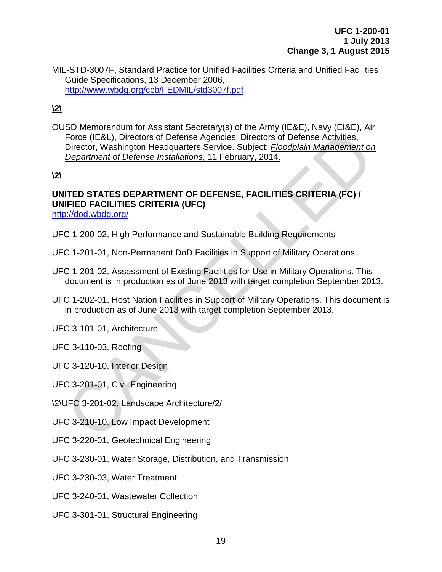MIL-STD-3007F, Standard Practice for Unified Facilities Criteria and Unified Facilities Guide Specifications, 13 December 2006, <http://www.wbdg.org/ccb/FEDMIL/std3007f.pdf>

# **\2\**

OUSD Memorandum for Assistant Secretary(s) of the Army (IE&E), Navy (EI&E), Air Force (IE&L), Directors of Defense Agencies, Directors of Defense Activities, Director, Washington Headquarters Service. Subject: *Floodplain Management on Department of Defense Installations,* 11 February, 2014. Force (IE&L), Directors of Defense Agencies, Directors of Defense Activities,<br>Director, Washington Headquarters Service. Subject: *Eloodplain Management of*<br>Department of Defense Installations. 11 February, 2014.<br>
ITED STA

## **\2\**

# **UNITED STATES DEPARTMENT OF DEFENSE, FACILITIES CRITERIA (FC) / UNIFIED FACILITIES CRITERIA (UFC)**

<http://dod.wbdg.org/>

- UFC 1-200-02, High Performance and Sustainable Building Requirements
- UFC 1-201-01, Non-Permanent DoD Facilities in Support of Military Operations
- UFC 1-201-02, Assessment of Existing Facilities for Use in Military Operations. This document is in production as of June 2013 with target completion September 2013.
- UFC 1-202-01, Host Nation Facilities in Support of Military Operations. This document is in production as of June 2013 with target completion September 2013.
- UFC 3-101-01, Architecture
- UFC 3-110-03, Roofing
- UFC 3-120-10, Interior Design
- UFC 3-201-01, Civil Engineering
- \2\UFC 3-201-02, Landscape Architecture/2/
- UFC 3-210-10, Low Impact Development
- UFC 3-220-01, Geotechnical Engineering
- UFC 3-230-01, Water Storage, Distribution, and Transmission
- UFC 3-230-03, Water Treatment
- UFC 3-240-01, Wastewater Collection
- UFC 3-301-01, Structural Engineering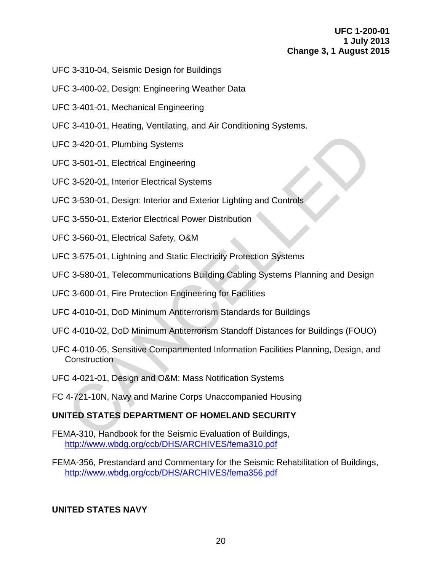- UFC 3-310-04, Seismic Design for Buildings
- UFC 3-400-02, Design: Engineering Weather Data
- UFC 3-401-01, Mechanical Engineering
- UFC 3-410-01, Heating, Ventilating, and Air Conditioning Systems.
- UFC 3-420-01, Plumbing Systems
- UFC 3-501-01, Electrical Engineering
- UFC 3-520-01, Interior Electrical Systems
- UFC 3-530-01, Design: Interior and Exterior Lighting and Controls
- UFC 3-550-01, Exterior Electrical Power Distribution
- UFC 3-560-01, Electrical Safety, O&M
- UFC 3-575-01, Lightning and Static Electricity Protection Systems
- UFC 3-580-01, Telecommunications Building Cabling Systems Planning and Design
- UFC 3-600-01, Fire Protection Engineering for Facilities
- UFC 4-010-01, DoD Minimum Antiterrorism Standards for Buildings
- UFC 4-010-02, DoD Minimum Antiterrorism Standoff Distances for Buildings (FOUO)
- UFC 4-010-05, Sensitive Compartmented Information Facilities Planning, Design, and **Construction** C 3-420-01, Plumbing Systems<br>
C 3-501-01, Electrical Engineering<br>
C 3-520-01, Interior Electrical Systems<br>
C 3-530-01, Design: Interior and Exterior Lighting and Controls<br>
C 3-530-01, Exterior Electrical Power Distribution
- UFC 4-021-01, Design and O&M: Mass Notification Systems
- FC 4-721-10N, Navy and Marine Corps Unaccompanied Housing

#### **UNITED STATES DEPARTMENT OF HOMELAND SECURITY**

- FEMA-310, Handbook for the Seismic Evaluation of Buildings, <http://www.wbdg.org/ccb/DHS/ARCHIVES/fema310.pdf>
- FEMA-356, Prestandard and Commentary for the Seismic Rehabilitation of Buildings, <http://www.wbdg.org/ccb/DHS/ARCHIVES/fema356.pdf>

#### **UNITED STATES NAVY**